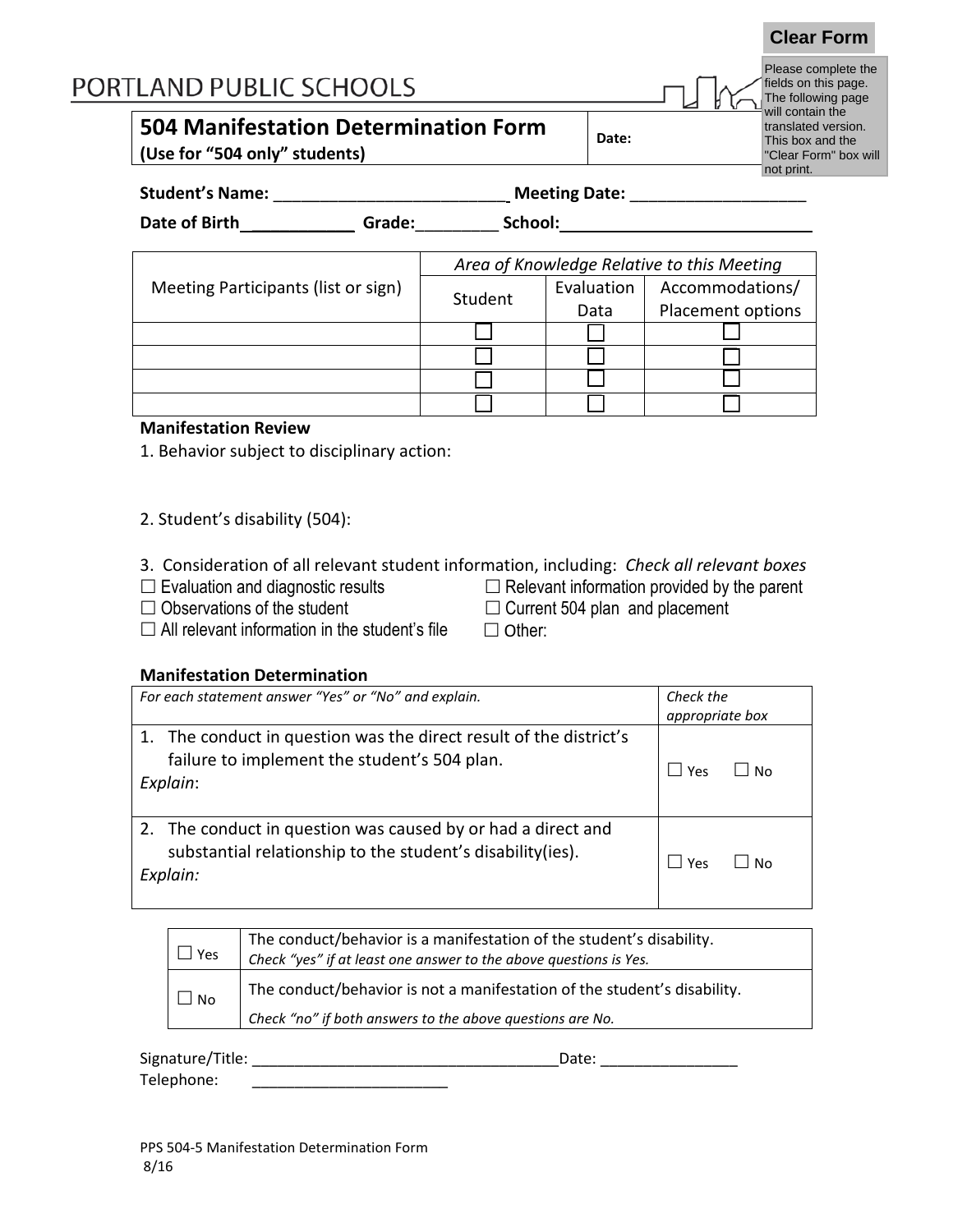# PORTLAND PUBLIC SCHOOLS

# **504 Manifestation Determination Form**

**(Use for "504 only" students)**

| Date: |
|-------|
|-------|

8 | 8 | 8 8 | 8 | 8 8 | 8 | 8

Please complete the fields on this page. The following page will contain the translated version. This box and the "Clear Form" box will not print.

**Clear Form**

| <b>Student's Name:</b> | <b>Meeting Date:</b> |
|------------------------|----------------------|
|                        |                      |

| Date of Birth                       | Grade: | School: |            |                                            |  |
|-------------------------------------|--------|---------|------------|--------------------------------------------|--|
|                                     |        |         |            |                                            |  |
|                                     |        |         |            | Area of Knowledge Relative to this Meeting |  |
| Meeting Participants (list or sign) |        | Student | Evaluation | Accommodations/                            |  |
|                                     |        |         | Data       | Placement options                          |  |
|                                     |        |         |            |                                            |  |

#### **Manifestation Review**

1. Behavior subject to disciplinary action:

- 2. Student's disability (504):
- 3. Consideration of all relevant student information, including: *Check all relevant boxes*
- 
- $\Box$  Evaluation and diagnostic results  $\Box$  Relevant information provided by the parent  $\Box$  Observations of the student  $\Box$  Current 504 plan and placement  $\Box$  Current 504 plan and placement
- $\Box$  All relevant information in the student's file  $\Box$  Other:
- 

#### **Manifestation Determination**

| For each statement answer "Yes" or "No" and explain.                                                                                    | Check the<br>appropriate box |  |
|-----------------------------------------------------------------------------------------------------------------------------------------|------------------------------|--|
| 1. The conduct in question was the direct result of the district's<br>failure to implement the student's 504 plan.<br>Explain:          | No<br>Yes                    |  |
| 2. The conduct in question was caused by or had a direct and<br>substantial relationship to the student's disability (ies).<br>Explain: | Yes<br>N۵                    |  |

| Yes       | The conduct/behavior is a manifestation of the student's disability.<br>Check "yes" if at least one answer to the above questions is Yes. |
|-----------|-------------------------------------------------------------------------------------------------------------------------------------------|
| <b>No</b> | The conduct/behavior is not a manifestation of the student's disability.                                                                  |
|           | Check "no" if both answers to the above questions are No.                                                                                 |

| Signature/Title: | Date: |
|------------------|-------|
| Telephone:       |       |